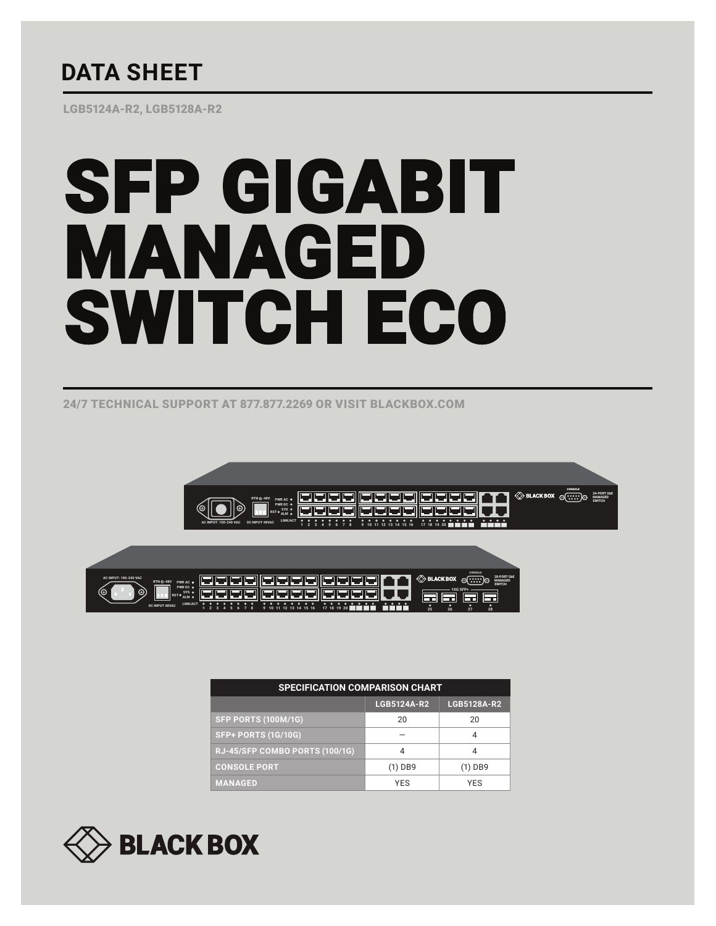## **DATA SHEET**

LGB5124A-R2, LGB5128A-R2

# SFP GIGABIT MANAGED SWITCH ECO

24/7 TECHNICAL SUPPORT AT 877.877.2269 OR VISIT BLACKBOX.COM





| <b>SPECIFICATION COMPARISON CHART</b> |             |             |
|---------------------------------------|-------------|-------------|
|                                       | LGB5124A-R2 | LGB5128A-R2 |
| <b>SFP PORTS (100M/1G)</b>            | 20          | 20          |
| <b>SFP+ PORTS (1G/10G)</b>            |             |             |
| RJ-45/SFP COMBO PORTS (100/1G)        |             |             |
| <b>CONSOLE PORT</b>                   | (1) DB9     | $(1)$ DB9   |
| <b>MANAGED</b>                        | <b>YFS</b>  | <b>YFS</b>  |

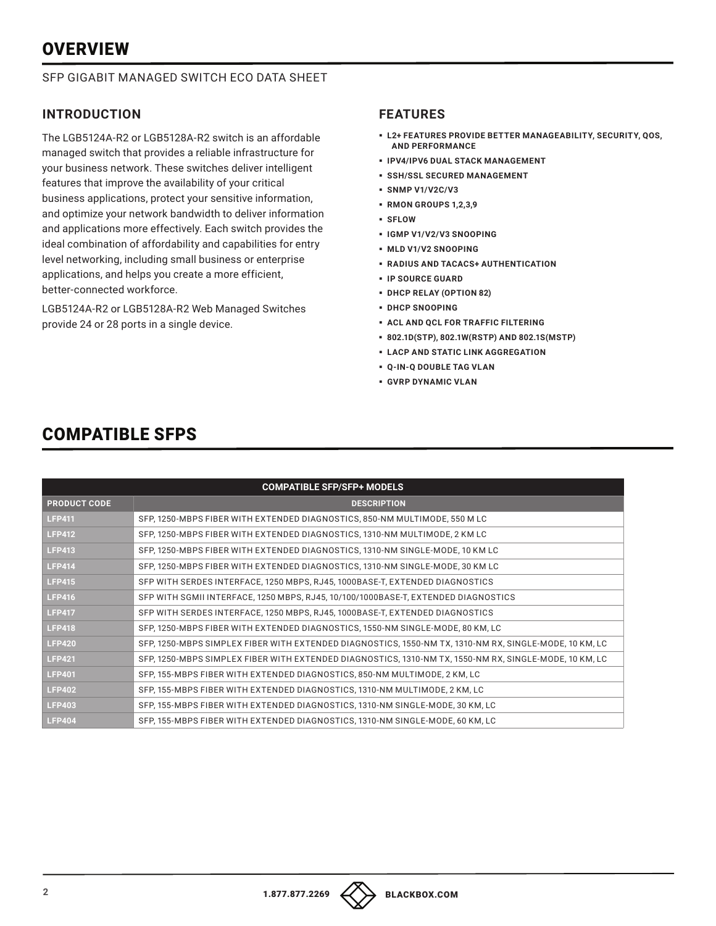## **OVERVIEW**

#### SFP GIGABIT MANAGED SWITCH ECO DATA SHEET

#### **INTRODUCTION**

The LGB5124A-R2 or LGB5128A-R2 switch is an affordable managed switch that provides a reliable infrastructure for your business network. These switches deliver intelligent features that improve the availability of your critical business applications, protect your sensitive information, and optimize your network bandwidth to deliver information and applications more effectively. Each switch provides the ideal combination of affordability and capabilities for entry level networking, including small business or enterprise applications, and helps you create a more efficient, better-connected workforce.

LGB5124A-R2 or LGB5128A-R2 Web Managed Switches provide 24 or 28 ports in a single device.

#### **FEATURES**

- § **L2+ FEATURES PROVIDE BETTER MANAGEABILITY, SECURITY, QOS, AND PERFORMANCE**
- § **IPV4/IPV6 DUAL STACK MANAGEMENT**
- § **SSH/SSL SECURED MANAGEMENT**
- § **SNMP V1/V2C/V3**
- § **RMON GROUPS 1,2,3,9**
- § **SFLOW**
- § **IGMP V1/V2/V3 SNOOPING**
- § **MLD V1/V2 SNOOPING**
- § **RADIUS AND TACACS+ AUTHENTICATION**
- § **IP SOURCE GUARD**
- § **DHCP RELAY (OPTION 82)**
- § **DHCP SNOOPING**
- § **ACL AND QCL FOR TRAFFIC FILTERING**
- § **802.1D(STP), 802.1W(RSTP) AND 802.1S(MSTP)**
- § **LACP AND STATIC LINK AGGREGATION**
- § **Q-IN-Q DOUBLE TAG VLAN**
- § **GVRP DYNAMIC VLAN**

| <b>COMPATIBLE SFP/SFP+ MODELS</b> |                                                                                                        |  |
|-----------------------------------|--------------------------------------------------------------------------------------------------------|--|
| <b>PRODUCT CODE</b>               | <b>DESCRIPTION</b>                                                                                     |  |
| <b>LFP411</b>                     | SFP, 1250-MBPS FIBER WITH EXTENDED DIAGNOSTICS, 850-NM MULTIMODE, 550 M LC                             |  |
| <b>LFP412</b>                     | SFP, 1250-MBPS FIBER WITH EXTENDED DIAGNOSTICS, 1310-NM MULTIMODE, 2 KM LC                             |  |
| <b>LFP413</b>                     | SFP, 1250-MBPS FIBER WITH EXTENDED DIAGNOSTICS, 1310-NM SINGLE-MODE, 10 KM LC                          |  |
| <b>LFP414</b>                     | SFP, 1250-MBPS FIBER WITH EXTENDED DIAGNOSTICS, 1310-NM SINGLE-MODE, 30 KM LC                          |  |
| <b>LFP415</b>                     | SFP WITH SERDES INTERFACE, 1250 MBPS, RJ45, 1000BASE-T, EXTENDED DIAGNOSTICS                           |  |
| <b>LFP416</b>                     | SFP WITH SGMII INTERFACE, 1250 MBPS, RJ45, 10/100/1000BASE-T, EXTENDED DIAGNOSTICS                     |  |
| <b>LFP417</b>                     | SFP WITH SERDES INTERFACE, 1250 MBPS, RJ45, 1000BASE-T, EXTENDED DIAGNOSTICS                           |  |
| <b>LFP418</b>                     | SFP, 1250-MBPS FIBER WITH EXTENDED DIAGNOSTICS, 1550-NM SINGLE-MODE, 80 KM, LC                         |  |
| <b>LFP420</b>                     | SFP, 1250-MBPS SIMPLEX FIBER WITH EXTENDED DIAGNOSTICS, 1550-NM TX, 1310-NM RX, SINGLE-MODE, 10 KM, LC |  |
| <b>LFP421</b>                     | SFP, 1250-MBPS SIMPLEX FIBER WITH EXTENDED DIAGNOSTICS, 1310-NM TX, 1550-NM RX, SINGLE-MODE, 10 KM, LC |  |
| <b>LFP401</b>                     | SFP, 155-MBPS FIBER WITH EXTENDED DIAGNOSTICS, 850-NM MULTIMODE, 2 KM, LC                              |  |
| <b>LFP402</b>                     | SFP, 155-MBPS FIBER WITH EXTENDED DIAGNOSTICS, 1310-NM MULTIMODE, 2 KM, LC                             |  |
| <b>LFP403</b>                     | SFP, 155-MBPS FIBER WITH EXTENDED DIAGNOSTICS, 1310-NM SINGLE-MODE, 30 KM, LC                          |  |
| <b>LFP404</b>                     | SFP, 155-MBPS FIBER WITH EXTENDED DIAGNOSTICS, 1310-NM SINGLE-MODE, 60 KM, LC                          |  |

## COMPATIBLE SFPS

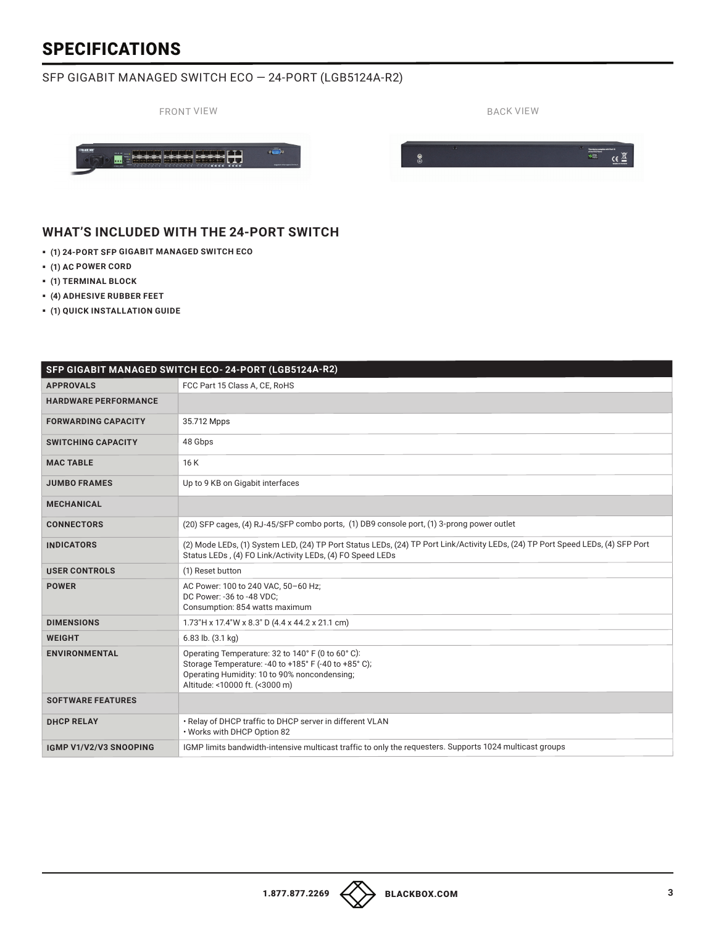#### SFP GIGABIT MANAGED SWITCH ECO — 24-PORT (LGB5124A-R2)



#### **WHAT'S INCLUDED WITH THE 24-PORT SWITCH**

- § **(1) 24-PORT SFP GIGABIT MANAGED SWITCH ECO**
- § **(1) AC POWER CORD**
- § **(1) TERMINAL BLOCK**
- § **(4) ADHESIVE RUBBER FEET**
- § **(1) QUICK INSTALLATION GUIDE**

|                             | SFP GIGABIT MANAGED SWITCH ECO-24-PORT (LGB5124A-R2)                                                                                                                                         |
|-----------------------------|----------------------------------------------------------------------------------------------------------------------------------------------------------------------------------------------|
| <b>APPROVALS</b>            | FCC Part 15 Class A, CE, RoHS                                                                                                                                                                |
| <b>HARDWARE PERFORMANCE</b> |                                                                                                                                                                                              |
| <b>FORWARDING CAPACITY</b>  | 35.712 Mpps                                                                                                                                                                                  |
| <b>SWITCHING CAPACITY</b>   | 48 Gbps                                                                                                                                                                                      |
| <b>MAC TABLE</b>            | 16 K                                                                                                                                                                                         |
| <b>JUMBO FRAMES</b>         | Up to 9 KB on Gigabit interfaces                                                                                                                                                             |
| <b>MECHANICAL</b>           |                                                                                                                                                                                              |
| <b>CONNECTORS</b>           | (20) SFP cages, (4) RJ-45/SFP combo ports, (1) DB9 console port, (1) 3-prong power outlet                                                                                                    |
| <b>INDICATORS</b>           | (2) Mode LEDs, (1) System LED, (24) TP Port Status LEDs, (24) TP Port Link/Activity LEDs, (24) TP Port Speed LEDs, (4) SFP Port<br>Status LEDs. (4) FO Link/Activity LEDs, (4) FO Speed LEDs |
| <b>USER CONTROLS</b>        | (1) Reset button                                                                                                                                                                             |
| <b>POWER</b>                | AC Power: 100 to 240 VAC, 50-60 Hz;<br>DC Power: -36 to -48 VDC;<br>Consumption: 854 watts maximum                                                                                           |
| <b>DIMENSIONS</b>           | 1.73"H x 17.4"W x 8.3" D (4.4 x 44.2 x 21.1 cm)                                                                                                                                              |
| <b>WEIGHT</b>               | $6.83$ lb. $(3.1$ kg)                                                                                                                                                                        |
| <b>ENVIRONMENTAL</b>        | Operating Temperature: 32 to 140° F (0 to 60° C):<br>Storage Temperature: -40 to +185° F (-40 to +85° C);<br>Operating Humidity: 10 to 90% noncondensing;<br>Altitude: <10000 ft. (<3000 m)  |
| <b>SOFTWARE FEATURES</b>    |                                                                                                                                                                                              |
| <b>DHCP RELAY</b>           | . Relay of DHCP traffic to DHCP server in different VLAN<br>. Works with DHCP Option 82                                                                                                      |
| IGMP V1/V2/V3 SNOOPING      | IGMP limits bandwidth-intensive multicast traffic to only the requesters. Supports 1024 multicast groups                                                                                     |

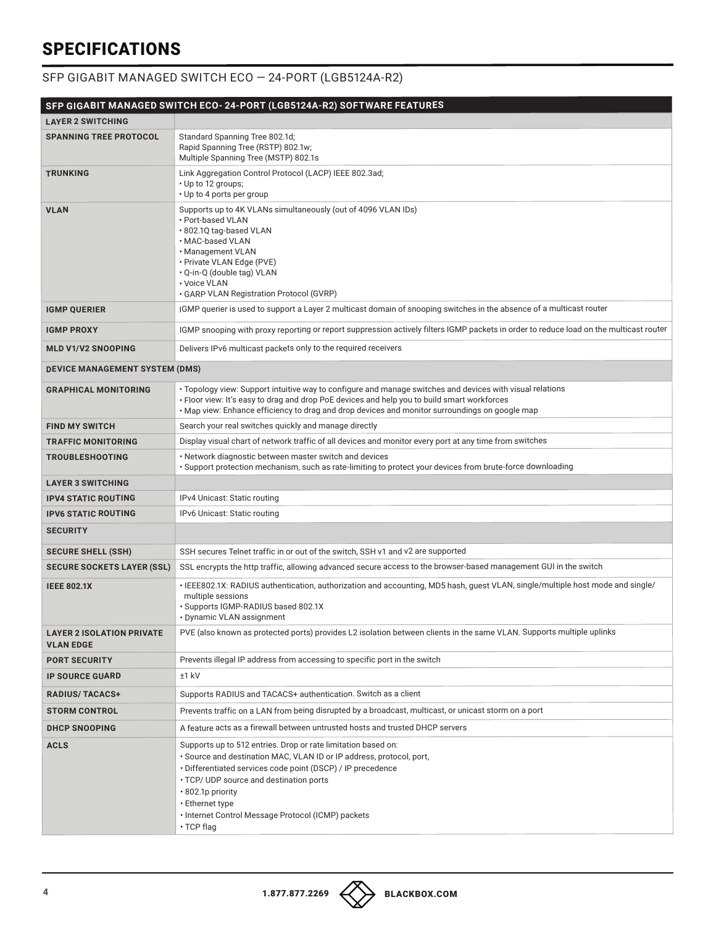#### SFP GIGABIT MANAGED SWITCH ECO — 24-PORT (LGB5124A-R2)

|                                                      | SFP GIGABIT MANAGED SWITCH ECO- 24-PORT (LGB5124A-R2) SOFTWARE FEATURES                                                                                                                                                                                                                                                                                           |
|------------------------------------------------------|-------------------------------------------------------------------------------------------------------------------------------------------------------------------------------------------------------------------------------------------------------------------------------------------------------------------------------------------------------------------|
| <b>LAYER 2 SWITCHING</b>                             |                                                                                                                                                                                                                                                                                                                                                                   |
| <b>SPANNING TREE PROTOCOL</b>                        | Standard Spanning Tree 802.1d;<br>Rapid Spanning Tree (RSTP) 802.1w;<br>Multiple Spanning Tree (MSTP) 802.1s                                                                                                                                                                                                                                                      |
| <b>TRUNKING</b>                                      | Link Aggregation Control Protocol (LACP) IEEE 802.3ad;<br>· Up to 12 groups;<br>• Up to 4 ports per group                                                                                                                                                                                                                                                         |
| <b>VLAN</b>                                          | Supports up to 4K VLANs simultaneously (out of 4096 VLAN IDs)<br>· Port-based VLAN<br>· 802.1Q tag-based VLAN<br>· MAC-based VLAN<br>• Management VLAN<br>· Private VLAN Edge (PVE)<br>• Q-in-Q (double tag) VLAN<br>· Voice VLAN<br>· GARP VLAN Registration Protocol (GVRP)                                                                                     |
| <b>IGMP QUERIER</b>                                  | IGMP querier is used to support a Layer 2 multicast domain of snooping switches in the absence of a multicast router                                                                                                                                                                                                                                              |
| <b>IGMP PROXY</b>                                    | IGMP snooping with proxy reporting or report suppression actively filters IGMP packets in order to reduce load on the multicast router                                                                                                                                                                                                                            |
| <b>MLD V1/V2 SNOOPING</b>                            | Delivers IPv6 multicast packets only to the required receivers                                                                                                                                                                                                                                                                                                    |
| DEVICE MANAGEMENT SYSTEM (DMS)                       |                                                                                                                                                                                                                                                                                                                                                                   |
| <b>GRAPHICAL MONITORING</b>                          | · Topology view: Support intuitive way to configure and manage switches and devices with visual relations<br>• Floor view: It's easy to drag and drop PoE devices and help you to build smart workforces<br>• Map view: Enhance efficiency to drag and drop devices and monitor surroundings on google map                                                        |
| <b>FIND MY SWITCH</b>                                | Search your real switches quickly and manage directly                                                                                                                                                                                                                                                                                                             |
| <b>TRAFFIC MONITORING</b>                            | Display visual chart of network traffic of all devices and monitor every port at any time from switches                                                                                                                                                                                                                                                           |
| <b>TROUBLESHOOTING</b>                               | • Network diagnostic between master switch and devices<br>· Support protection mechanism, such as rate-limiting to protect your devices from brute-force downloading                                                                                                                                                                                              |
| <b>LAYER 3 SWITCHING</b>                             |                                                                                                                                                                                                                                                                                                                                                                   |
| <b>IPV4 STATIC ROUTING</b>                           | IPv4 Unicast: Static routing                                                                                                                                                                                                                                                                                                                                      |
| <b>IPV6 STATIC ROUTING</b>                           | IPv6 Unicast: Static routing                                                                                                                                                                                                                                                                                                                                      |
| <b>SECURITY</b>                                      |                                                                                                                                                                                                                                                                                                                                                                   |
| <b>SECURE SHELL (SSH)</b>                            | SSH secures Telnet traffic in or out of the switch, SSH v1 and v2 are supported                                                                                                                                                                                                                                                                                   |
| <b>SECURE SOCKETS LAYER (SSL)</b>                    | SSL encrypts the http traffic, allowing advanced secure access to the browser-based management GUI in the switch                                                                                                                                                                                                                                                  |
| <b>IEEE 802.1X</b>                                   | ·IEEE802.1X: RADIUS authentication, authorization and accounting, MD5 hash, guest VLAN, single/multiple host mode and single/<br>multiple sessions<br>· Supports IGMP-RADIUS based 802.1X<br>• Dynamic VLAN assignment                                                                                                                                            |
| <b>LAYER 2 ISOLATION PRIVATE</b><br><b>VLAN EDGE</b> | PVE (also known as protected ports) provides L2 isolation between clients in the same VLAN. Supports multiple uplinks                                                                                                                                                                                                                                             |
| <b>PORT SECURITY</b>                                 | Prevents illegal IP address from accessing to specific port in the switch                                                                                                                                                                                                                                                                                         |
| <b>IP SOURCE GUARD</b>                               | $±1$ kV                                                                                                                                                                                                                                                                                                                                                           |
| <b>RADIUS/TACACS+</b>                                | Supports RADIUS and TACACS+ authentication. Switch as a client                                                                                                                                                                                                                                                                                                    |
| <b>STORM CONTROL</b>                                 | Prevents traffic on a LAN from being disrupted by a broadcast, multicast, or unicast storm on a port                                                                                                                                                                                                                                                              |
| <b>DHCP SNOOPING</b>                                 | A feature acts as a firewall between untrusted hosts and trusted DHCP servers                                                                                                                                                                                                                                                                                     |
| <b>ACLS</b>                                          | Supports up to 512 entries. Drop or rate limitation based on:<br>· Source and destination MAC, VLAN ID or IP address, protocol, port,<br>· Differentiated services code point (DSCP) / IP precedence<br>• TCP/ UDP source and destination ports<br>• 802.1p priority<br>• Ethernet type<br>• Internet Control Message Protocol (ICMP) packets<br>$\cdot$ TCP flag |

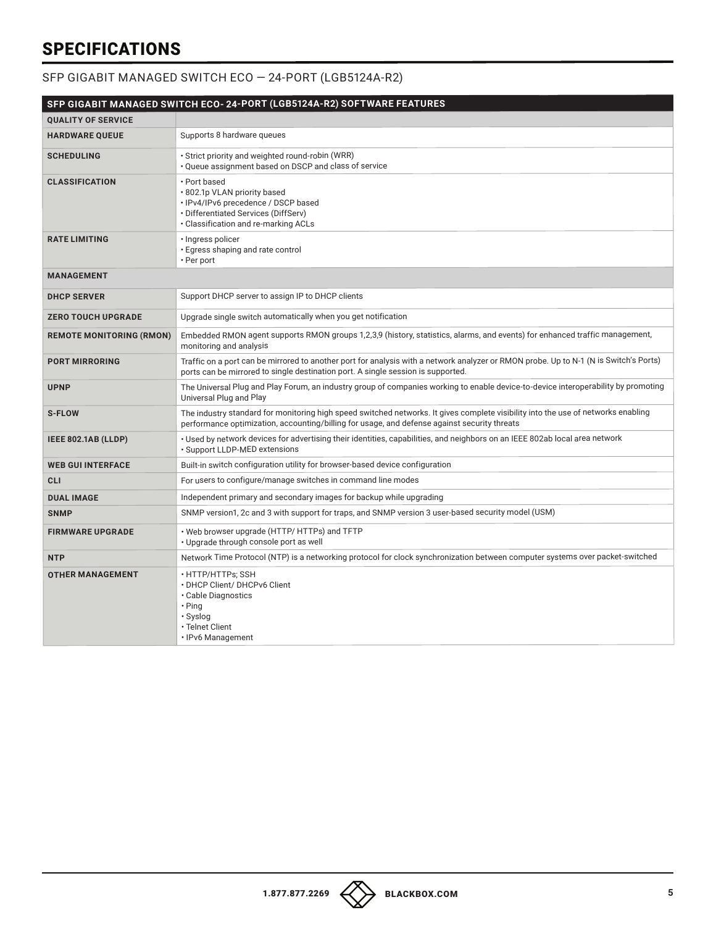#### SFP GIGABIT MANAGED SWITCH ECO — 24-PORT (LGB5124A-R2)

|                                 | SFP GIGABIT MANAGED SWITCH ECO- 24-PORT (LGB5124A-R2) SOFTWARE FEATURES                                                                                                                                                           |
|---------------------------------|-----------------------------------------------------------------------------------------------------------------------------------------------------------------------------------------------------------------------------------|
| <b>QUALITY OF SERVICE</b>       |                                                                                                                                                                                                                                   |
| <b>HARDWARE QUEUE</b>           | Supports 8 hardware queues                                                                                                                                                                                                        |
| <b>SCHEDULING</b>               | · Strict priority and weighted round-robin (WRR)<br>. Queue assignment based on DSCP and class of service                                                                                                                         |
| <b>CLASSIFICATION</b>           | • Port based<br>· 802.1p VLAN priority based<br>· IPv4/IPv6 precedence / DSCP based<br>· Differentiated Services (DiffServ)<br>. Classification and re-marking ACLs                                                               |
| <b>RATE LIMITING</b>            | · Ingress policer<br>· Egress shaping and rate control<br>• Per port                                                                                                                                                              |
| <b>MANAGEMENT</b>               |                                                                                                                                                                                                                                   |
| <b>DHCP SERVER</b>              | Support DHCP server to assign IP to DHCP clients                                                                                                                                                                                  |
| <b>ZERO TOUCH UPGRADE</b>       | Upgrade single switch automatically when you get notification                                                                                                                                                                     |
| <b>REMOTE MONITORING (RMON)</b> | Embedded RMON agent supports RMON groups 1,2,3,9 (history, statistics, alarms, and events) for enhanced traffic management,<br>monitoring and analysis                                                                            |
| <b>PORT MIRRORING</b>           | Traffic on a port can be mirrored to another port for analysis with a network analyzer or RMON probe. Up to N-1 (N is Switch's Ports)<br>ports can be mirrored to single destination port. A single session is supported.         |
| <b>UPNP</b>                     | The Universal Plug and Play Forum, an industry group of companies working to enable device-to-device interoperability by promoting<br>Universal Plug and Play                                                                     |
| <b>S-FLOW</b>                   | The industry standard for monitoring high speed switched networks. It gives complete visibility into the use of networks enabling<br>performance optimization, accounting/billing for usage, and defense against security threats |
| IEEE 802.1AB (LLDP)             | · Used by network devices for advertising their identities, capabilities, and neighbors on an IEEE 802ab local area network<br>· Support LLDP-MED extensions                                                                      |
| <b>WEB GUI INTERFACE</b>        | Built-in switch configuration utility for browser-based device configuration                                                                                                                                                      |
| <b>CLI</b>                      | For users to configure/manage switches in command line modes                                                                                                                                                                      |
| <b>DUAL IMAGE</b>               | Independent primary and secondary images for backup while upgrading                                                                                                                                                               |
| <b>SNMP</b>                     | SNMP version1, 2c and 3 with support for traps, and SNMP version 3 user-based security model (USM)                                                                                                                                |
| <b>FIRMWARE UPGRADE</b>         | • Web browser upgrade (HTTP/ HTTPs) and TFTP<br>• Upgrade through console port as well                                                                                                                                            |
| <b>NTP</b>                      | Network Time Protocol (NTP) is a networking protocol for clock synchronization between computer systems over packet-switched                                                                                                      |
| <b>OTHER MANAGEMENT</b>         | · HTTP/HTTPs; SSH<br>• DHCP Client/ DHCPv6 Client<br>· Cable Diagnostics<br>$\cdot$ Ping<br>· Syslog<br>· Telnet Client<br>· IPv6 Management                                                                                      |

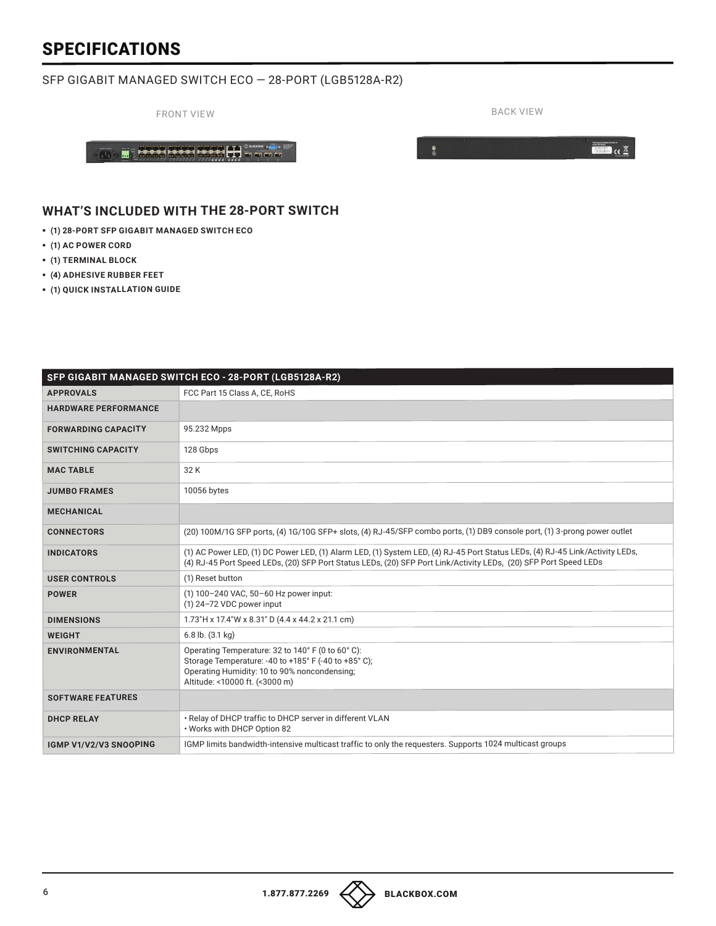#### SFP GIGABIT MANAGED SWITCH ECO — 28-PORT (LGB5128A-R2)

FRONT VIEW BACK VIEW BACK VIEW

 $\bullet$ 

 $\left\langle \frac{\partial}{\partial \Omega}\right\rangle$  . Base asset as H #### **WHAT'S INCLUDED WITH THE 28-PORT SWITCH**

- § **(1) 28-PORT SFP GIGABIT MANAGED SWITCH ECO**
- § **(1) AC POWER CORD**
- § **(1) TERMINAL BLOCK**
- § **(4) ADHESIVE RUBBER FEET**
- § **(1) QUICK INSTALLATION GUIDE**

|                             | SFP GIGABIT MANAGED SWITCH ECO - 28-PORT (LGB5128A-R2)                                                                                                                                                                                           |
|-----------------------------|--------------------------------------------------------------------------------------------------------------------------------------------------------------------------------------------------------------------------------------------------|
| <b>APPROVALS</b>            | FCC Part 15 Class A. CE. RoHS                                                                                                                                                                                                                    |
| <b>HARDWARE PERFORMANCE</b> |                                                                                                                                                                                                                                                  |
| <b>FORWARDING CAPACITY</b>  | 95.232 Mpps                                                                                                                                                                                                                                      |
| <b>SWITCHING CAPACITY</b>   | 128 Gbps                                                                                                                                                                                                                                         |
| <b>MAC TABLE</b>            | 32 K                                                                                                                                                                                                                                             |
| <b>JUMBO FRAMES</b>         | 10056 bytes                                                                                                                                                                                                                                      |
| <b>MECHANICAL</b>           |                                                                                                                                                                                                                                                  |
| <b>CONNECTORS</b>           | (20) 100M/1G SFP ports, (4) 1G/10G SFP+ slots, (4) RJ-45/SFP combo ports, (1) DB9 console port, (1) 3-prong power outlet                                                                                                                         |
| <b>INDICATORS</b>           | (1) AC Power LED, (1) DC Power LED, (1) Alarm LED, (1) System LED, (4) RJ-45 Port Status LEDs, (4) RJ-45 Link/Activity LEDs,<br>(4) RJ-45 Port Speed LEDs, (20) SFP Port Status LEDs, (20) SFP Port Link/Activity LEDs, (20) SFP Port Speed LEDs |
| <b>USER CONTROLS</b>        | (1) Reset button                                                                                                                                                                                                                                 |
| <b>POWER</b>                | (1) 100-240 VAC, 50-60 Hz power input:<br>(1) 24-72 VDC power input                                                                                                                                                                              |
| <b>DIMENSIONS</b>           | 1.73"H x 17.4"W x 8.31" D (4.4 x 44.2 x 21.1 cm)                                                                                                                                                                                                 |
| <b>WEIGHT</b>               | $6.8$ lb. $(3.1 \text{ kg})$                                                                                                                                                                                                                     |
| <b>ENVIRONMENTAL</b>        | Operating Temperature: 32 to 140° F (0 to 60° C):<br>Storage Temperature: -40 to +185° F (-40 to +85° C);<br>Operating Humidity: 10 to 90% noncondensing;<br>Altitude: <10000 ft. (<3000 m)                                                      |
| <b>SOFTWARE FEATURES</b>    |                                                                                                                                                                                                                                                  |
| <b>DHCP RELAY</b>           | . Relay of DHCP traffic to DHCP server in different VLAN<br>. Works with DHCP Option 82                                                                                                                                                          |
| IGMP V1/V2/V3 SNOOPING      | IGMP limits bandwidth-intensive multicast traffic to only the requesters. Supports 1024 multicast groups                                                                                                                                         |

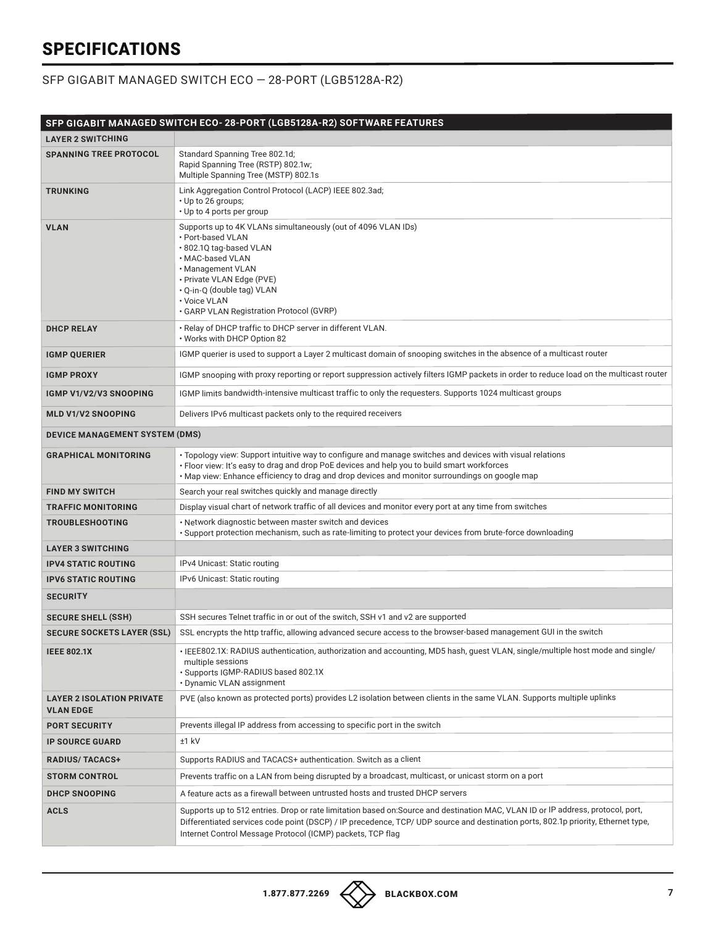#### SFP GIGABIT MANAGED SWITCH ECO — 28-PORT (LGB5128A-R2)

|                                                      | SFP GIGABIT MANAGED SWITCH ECO- 28-PORT (LGB5128A-R2) SOFTWARE FEATURES                                                                                                                                                                                                                                                             |
|------------------------------------------------------|-------------------------------------------------------------------------------------------------------------------------------------------------------------------------------------------------------------------------------------------------------------------------------------------------------------------------------------|
| <b>LAYER 2 SWITCHING</b>                             |                                                                                                                                                                                                                                                                                                                                     |
| <b>SPANNING TREE PROTOCOL</b>                        | Standard Spanning Tree 802.1d;<br>Rapid Spanning Tree (RSTP) 802.1w;<br>Multiple Spanning Tree (MSTP) 802.1s                                                                                                                                                                                                                        |
| <b>TRUNKING</b>                                      | Link Aggregation Control Protocol (LACP) IEEE 802.3ad;<br>· Up to 26 groups;<br>• Up to 4 ports per group                                                                                                                                                                                                                           |
| <b>VLAN</b>                                          | Supports up to 4K VLANs simultaneously (out of 4096 VLAN IDs)<br>• Port-based VLAN<br>.802.1Q tag-based VLAN<br>· MAC-based VLAN<br>• Management VLAN<br>· Private VLAN Edge (PVE)<br>· Q-in-Q (double tag) VLAN<br>• Voice VLAN<br>• GARP VLAN Registration Protocol (GVRP)                                                        |
| <b>DHCP RELAY</b>                                    | · Relay of DHCP traffic to DHCP server in different VLAN.<br>. Works with DHCP Option 82                                                                                                                                                                                                                                            |
| <b>IGMP QUERIER</b>                                  | IGMP querier is used to support a Layer 2 multicast domain of snooping switches in the absence of a multicast router                                                                                                                                                                                                                |
| <b>IGMP PROXY</b>                                    | IGMP snooping with proxy reporting or report suppression actively filters IGMP packets in order to reduce load on the multicast router                                                                                                                                                                                              |
| <b>IGMP V1/V2/V3 SNOOPING</b>                        | IGMP limits bandwidth-intensive multicast traffic to only the requesters. Supports 1024 multicast groups                                                                                                                                                                                                                            |
| <b>MLD V1/V2 SNOOPING</b>                            | Delivers IPv6 multicast packets only to the required receivers                                                                                                                                                                                                                                                                      |
| <b>DEVICE MANAGEMENT SYSTEM (DMS)</b>                |                                                                                                                                                                                                                                                                                                                                     |
| <b>GRAPHICAL MONITORING</b>                          | · Topology view: Support intuitive way to configure and manage switches and devices with visual relations<br>· Floor view: It's easy to drag and drop PoE devices and help you to build smart workforces<br>. Map view: Enhance efficiency to drag and drop devices and monitor surroundings on google map                          |
| <b>FIND MY SWITCH</b>                                | Search your real switches quickly and manage directly                                                                                                                                                                                                                                                                               |
| <b>TRAFFIC MONITORING</b>                            | Display visual chart of network traffic of all devices and monitor every port at any time from switches                                                                                                                                                                                                                             |
| <b>TROUBLESHOOTING</b>                               | . Network diagnostic between master switch and devices<br>· Support protection mechanism, such as rate-limiting to protect your devices from brute-force downloading                                                                                                                                                                |
| <b>LAYER 3 SWITCHING</b>                             |                                                                                                                                                                                                                                                                                                                                     |
| <b>IPV4 STATIC ROUTING</b>                           | IPv4 Unicast: Static routing                                                                                                                                                                                                                                                                                                        |
| <b>IPV6 STATIC ROUTING</b>                           | IPv6 Unicast: Static routing                                                                                                                                                                                                                                                                                                        |
| <b>SECURITY</b>                                      |                                                                                                                                                                                                                                                                                                                                     |
| <b>SECURE SHELL (SSH)</b>                            | SSH secures Telnet traffic in or out of the switch, SSH v1 and v2 are supported                                                                                                                                                                                                                                                     |
| <b>SECURE SOCKETS LAYER (SSL)</b>                    | SSL encrypts the http traffic, allowing advanced secure access to the browser-based management GUI in the switch                                                                                                                                                                                                                    |
| <b>IEEE 802.1X</b>                                   | · IEEE802.1X: RADIUS authentication, authorization and accounting, MD5 hash, guest VLAN, single/multiple host mode and single/<br>multiple sessions<br>· Supports IGMP-RADIUS based 802.1X<br>• Dynamic VLAN assignment                                                                                                             |
| <b>LAYER 2 ISOLATION PRIVATE</b><br><b>VLAN EDGE</b> | PVE (also known as protected ports) provides L2 isolation between clients in the same VLAN. Supports multiple uplinks                                                                                                                                                                                                               |
| <b>PORT SECURITY</b>                                 | Prevents illegal IP address from accessing to specific port in the switch                                                                                                                                                                                                                                                           |
| <b>IP SOURCE GUARD</b>                               | $±1$ kV                                                                                                                                                                                                                                                                                                                             |
| <b>RADIUS/TACACS+</b>                                | Supports RADIUS and TACACS+ authentication. Switch as a client                                                                                                                                                                                                                                                                      |
| <b>STORM CONTROL</b>                                 | Prevents traffic on a LAN from being disrupted by a broadcast, multicast, or unicast storm on a port                                                                                                                                                                                                                                |
| <b>DHCP SNOOPING</b>                                 | A feature acts as a firewall between untrusted hosts and trusted DHCP servers                                                                                                                                                                                                                                                       |
| <b>ACLS</b>                                          | Supports up to 512 entries. Drop or rate limitation based on: Source and destination MAC, VLAN ID or IP address, protocol, port,<br>Differentiated services code point (DSCP) / IP precedence, TCP/ UDP source and destination ports, 802.1p priority, Ethernet type,<br>Internet Control Message Protocol (ICMP) packets, TCP flag |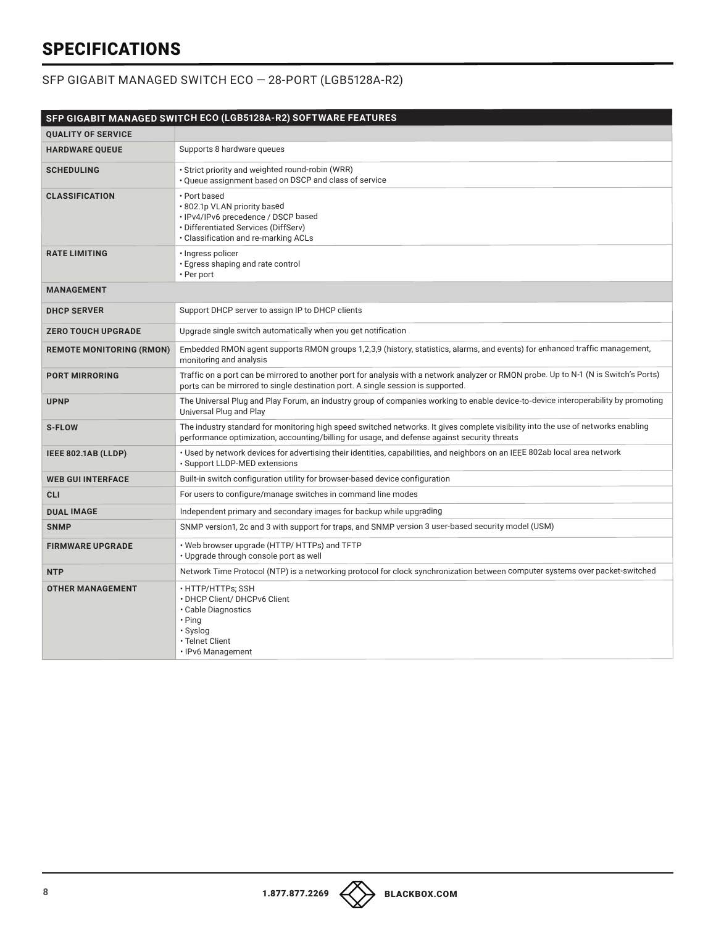#### SFP GIGABIT MANAGED SWITCH ECO — 28-PORT (LGB5128A-R2)

|                                 | SFP GIGABIT MANAGED SWITCH ECO (LGB5128A-R2) SOFTWARE FEATURES                                                                                                                                                                    |
|---------------------------------|-----------------------------------------------------------------------------------------------------------------------------------------------------------------------------------------------------------------------------------|
| <b>QUALITY OF SERVICE</b>       |                                                                                                                                                                                                                                   |
| <b>HARDWARE QUEUE</b>           | Supports 8 hardware queues                                                                                                                                                                                                        |
| <b>SCHEDULING</b>               | · Strict priority and weighted round-robin (WRR)<br>. Oueue assignment based on DSCP and class of service                                                                                                                         |
| <b>CLASSIFICATION</b>           | • Port based<br>· 802.1p VLAN priority based<br>· IPv4/IPv6 precedence / DSCP based<br>• Differentiated Services (DiffServ)<br>· Classification and re-marking ACLs                                                               |
| <b>RATE LIMITING</b>            | · Ingress policer<br>· Egress shaping and rate control<br>• Per port                                                                                                                                                              |
| <b>MANAGEMENT</b>               |                                                                                                                                                                                                                                   |
| <b>DHCP SERVER</b>              | Support DHCP server to assign IP to DHCP clients                                                                                                                                                                                  |
| <b>ZERO TOUCH UPGRADE</b>       | Upgrade single switch automatically when you get notification                                                                                                                                                                     |
| <b>REMOTE MONITORING (RMON)</b> | Embedded RMON agent supports RMON groups 1,2,3,9 (history, statistics, alarms, and events) for enhanced traffic management,<br>monitoring and analysis                                                                            |
| <b>PORT MIRRORING</b>           | Traffic on a port can be mirrored to another port for analysis with a network analyzer or RMON probe. Up to N-1 (N is Switch's Ports)<br>ports can be mirrored to single destination port. A single session is supported.         |
| <b>UPNP</b>                     | The Universal Plug and Play Forum, an industry group of companies working to enable device-to-device interoperability by promoting<br>Universal Plug and Play                                                                     |
| <b>S-FLOW</b>                   | The industry standard for monitoring high speed switched networks. It gives complete visibility into the use of networks enabling<br>performance optimization, accounting/billing for usage, and defense against security threats |
| IEEE 802.1AB (LLDP)             | · Used by network devices for advertising their identities, capabilities, and neighbors on an IEEE 802ab local area network<br>· Support LLDP-MED extensions                                                                      |
| <b>WEB GUI INTERFACE</b>        | Built-in switch configuration utility for browser-based device configuration                                                                                                                                                      |
| <b>CLI</b>                      | For users to configure/manage switches in command line modes                                                                                                                                                                      |
| <b>DUAL IMAGE</b>               | Independent primary and secondary images for backup while upgrading                                                                                                                                                               |
| <b>SNMP</b>                     | SNMP version1, 2c and 3 with support for traps, and SNMP version 3 user-based security model (USM)                                                                                                                                |
| <b>FIRMWARE UPGRADE</b>         | • Web browser upgrade (HTTP/ HTTPs) and TFTP<br>• Upgrade through console port as well                                                                                                                                            |
| <b>NTP</b>                      | Network Time Protocol (NTP) is a networking protocol for clock synchronization between computer systems over packet-switched                                                                                                      |
| <b>OTHER MANAGEMENT</b>         | • HTTP/HTTPs: SSH<br>• DHCP Client/ DHCPv6 Client<br>• Cable Diagnostics<br>$\cdot$ Ping<br>· Syslog<br>· Telnet Client<br>· IPv6 Management                                                                                      |

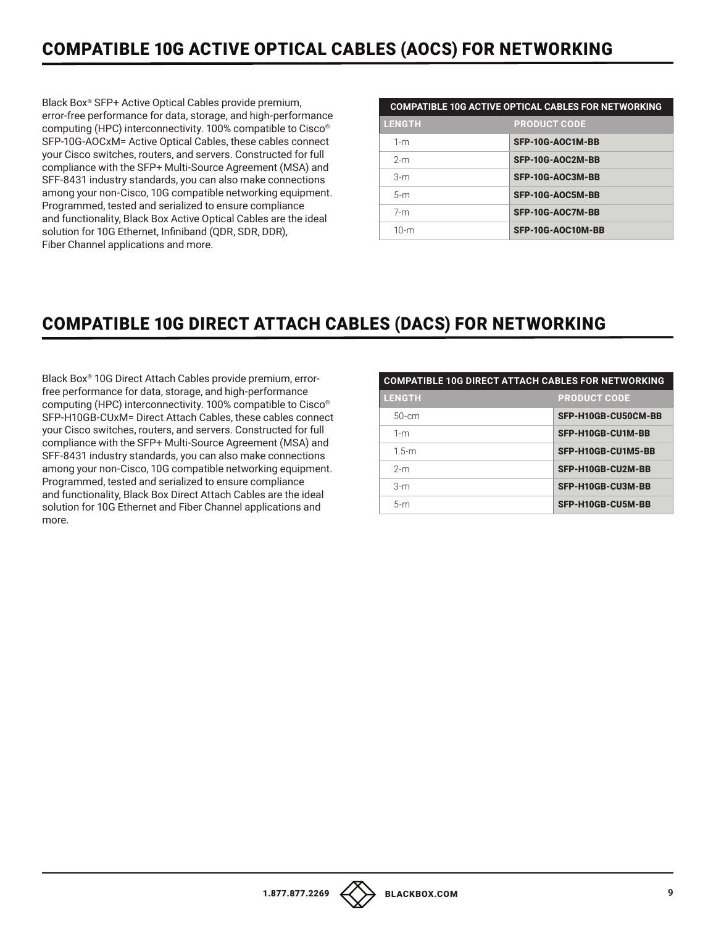## COMPATIBLE 10G ACTIVE OPTICAL CABLES (AOCS) FOR NETWORKING

Black Box® SFP+ Active Optical Cables provide premium, error-free performance for data, storage, and high-performance computing (HPC) interconnectivity. 100% compatible to Cisco® SFP-10G-AOCxM= Active Optical Cables, these cables connect your Cisco switches, routers, and servers. Constructed for full compliance with the SFP+ Multi-Source Agreement (MSA) and SFF-8431 industry standards, you can also make connections among your non-Cisco, 10G compatible networking equipment. Programmed, tested and serialized to ensure compliance and functionality, Black Box Active Optical Cables are the ideal solution for 10G Ethernet, Infiniband (QDR, SDR, DDR), Fiber Channel applications and more.

| <b>LENGTH</b> | <b>PRODUCT CODE</b> |
|---------------|---------------------|
| $1-m$         | SFP-10G-AOC1M-BB    |
| $2-m$         | SFP-10G-AOC2M-BB    |
| $3-m$         | SFP-10G-AOC3M-BB    |
| $5-m$         | SFP-10G-AOC5M-BB    |
| $7-m$         | SFP-10G-AOC7M-BB    |
| $10-m$        | SFP-10G-AOC10M-BB   |

### COMPATIBLE 10G DIRECT ATTACH CABLES (DACS) FOR NETWORKING

Black Box® 10G Direct Attach Cables provide premium, errorfree performance for data, storage, and high-performance computing (HPC) interconnectivity. 100% compatible to Cisco® SFP-H10GB-CUxM= Direct Attach Cables, these cables connect your Cisco switches, routers, and servers. Constructed for full compliance with the SFP+ Multi-Source Agreement (MSA) and SFF-8431 industry standards, you can also make connections among your non-Cisco, 10G compatible networking equipment. Programmed, tested and serialized to ensure compliance and functionality, Black Box Direct Attach Cables are the ideal solution for 10G Ethernet and Fiber Channel applications and more.

| <b>COMPATIBLE 10G DIRECT ATTACH CABLES FOR NETWORKING</b> |                     |  |
|-----------------------------------------------------------|---------------------|--|
| <b>LENGTH</b>                                             | <b>PRODUCT CODE</b> |  |
| $50$ -cm                                                  | SFP-H10GB-CU50CM-BB |  |
| $1-m$                                                     | SFP-H10GB-CU1M-BB   |  |
| $1.5-m$                                                   | SFP-H10GB-CU1M5-BB  |  |
| $2-m$                                                     | SFP-H10GB-CU2M-BB   |  |
| $3-m$                                                     | SFP-H10GB-CU3M-BB   |  |
| $5-m$                                                     | SFP-H10GB-CU5M-BB   |  |
|                                                           |                     |  |